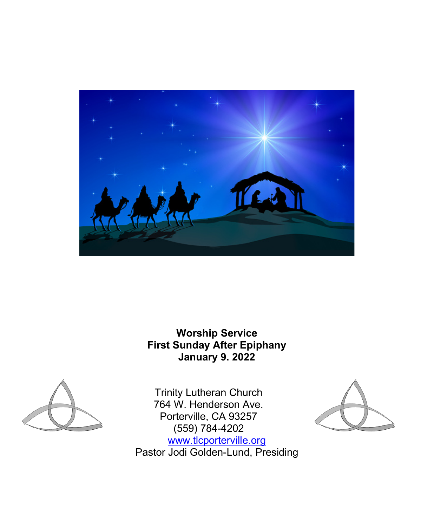

**Worship Service First Sunday After Epiphany January 9. 2022**



Trinity Lutheran Church 764 W. Henderson Ave. Porterville, CA 93257 (559) 784-4202 [www.tlcporterville.org](http://www.tlcporterville.org/) Pastor Jodi Golden-Lund, Presiding

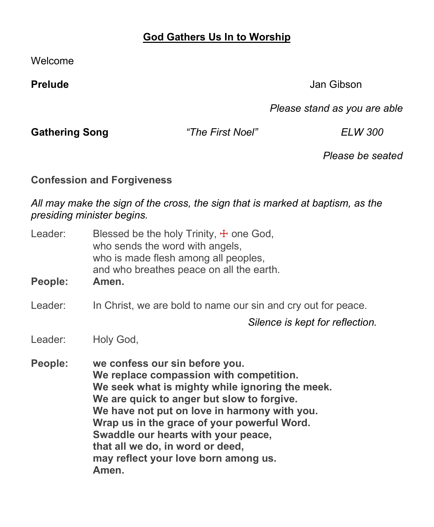# **God Gathers Us In to Worship**

Welcome

**Prelude** Jan Gibson

*Please stand as you are able*

**Gathering Song** *"The First Noel" ELW 300*

*Please be seated*

**Confession and Forgiveness**

*All may make the sign of the cross, the sign that is marked at baptism, as the presiding minister begins.*

| Leader:<br>People: | Blessed be the holy Trinity, $\pm$ one God,<br>who sends the word with angels,<br>who is made flesh among all peoples,<br>and who breathes peace on all the earth.<br>Amen.                                                                                                                                                                                                                           |
|--------------------|-------------------------------------------------------------------------------------------------------------------------------------------------------------------------------------------------------------------------------------------------------------------------------------------------------------------------------------------------------------------------------------------------------|
| Leader:            | In Christ, we are bold to name our sin and cry out for peace.                                                                                                                                                                                                                                                                                                                                         |
|                    | Silence is kept for reflection.                                                                                                                                                                                                                                                                                                                                                                       |
| Leader:            | Holy God,                                                                                                                                                                                                                                                                                                                                                                                             |
| People:            | we confess our sin before you.<br>We replace compassion with competition.<br>We seek what is mighty while ignoring the meek.<br>We are quick to anger but slow to forgive.<br>We have not put on love in harmony with you.<br>Wrap us in the grace of your powerful Word.<br>Swaddle our hearts with your peace,<br>that all we do, in word or deed,<br>may reflect your love born among us.<br>Amen. |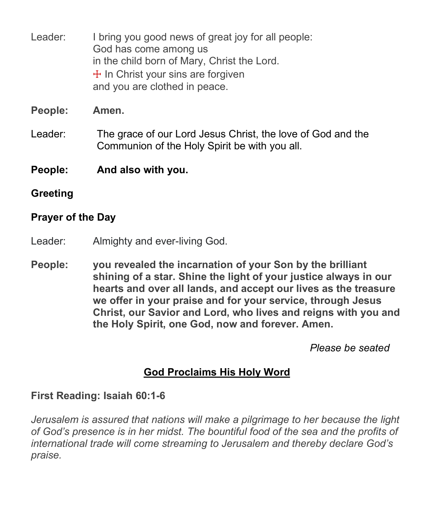Leader: I bring you good news of great joy for all people: God has come among us in the child born of Mary, Christ the Lord.  $+$  In Christ your sins are forgiven and you are clothed in peace.

**People: Amen.**

- Leader: The grace of our Lord Jesus Christ, the love of God and the Communion of the Holy Spirit be with you all.
- **People: And also with you.**
- **Greeting**

# **Prayer of the Day**

- Leader: Almighty and ever-living God.
- **People: you revealed the incarnation of your Son by the brilliant shining of a star. Shine the light of your justice always in our hearts and over all lands, and accept our lives as the treasure we offer in your praise and for your service, through Jesus Christ, our Savior and Lord, who lives and reigns with you and the Holy Spirit, one God, now and forever. Amen.**

*Please be seated*

# **God Proclaims His Holy Word**

# **First Reading: Isaiah 60:1-6**

*Jerusalem is assured that nations will make a pilgrimage to her because the light of God's presence is in her midst. The bountiful food of the sea and the profits of international trade will come streaming to Jerusalem and thereby declare God's praise.*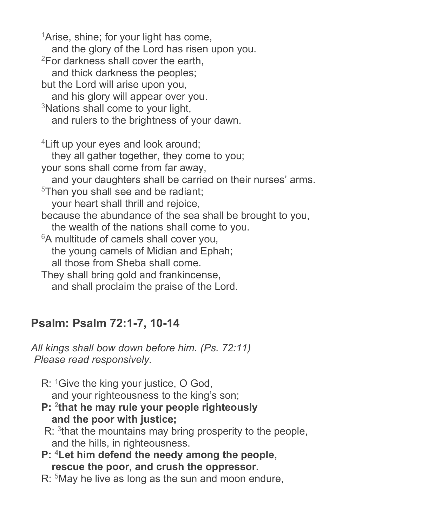<sup>1</sup>Arise, shine; for your light has come, and the glory of the Lord has risen upon you. 2For darkness shall cover the earth, and thick darkness the peoples; but the Lord will arise upon you, and his glory will appear over you. <sup>3</sup>Nations shall come to your light, and rulers to the brightness of your dawn. <sup>4</sup> Lift up your eyes and look around; they all gather together, they come to you; your sons shall come from far away, and your daughters shall be carried on their nurses' arms. <sup>5</sup>Then you shall see and be radiant; your heart shall thrill and rejoice, because the abundance of the sea shall be brought to you, the wealth of the nations shall come to you. <sup>6</sup>A multitude of camels shall cover you, the young camels of Midian and Ephah; all those from Sheba shall come. They shall bring gold and frankincense, and shall proclaim the praise of the Lord.

# **Psalm: Psalm 72:1-7, 10-14**

*All kings shall bow down before him. (Ps. 72:11) Please read responsively.*

- R: <sup>1</sup>Give the king your justice, O God, and your righteousness to the king's son;
- **P: 2that he may rule your people righteously and the poor with justice;**
- $R:$ <sup>3</sup>that the mountains may bring prosperity to the people, and the hills, in righteousness.
- **P: 4Let him defend the needy among the people, rescue the poor, and crush the oppressor.**
- R: <sup>5</sup>May he live as long as the sun and moon endure,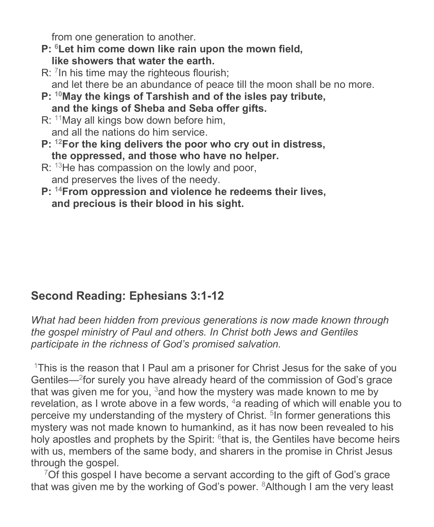from one generation to another.

- **P: 6Let him come down like rain upon the mown field, like showers that water the earth.**
- R: 7In his time may the righteous flourish; and let there be an abundance of peace till the moon shall be no more.
- **P: 10May the kings of Tarshish and of the isles pay tribute, and the kings of Sheba and Seba offer gifts.**
- R: <sup>11</sup>May all kings bow down before him, and all the nations do him service.
- **P: 12For the king delivers the poor who cry out in distress, the oppressed, and those who have no helper.**
- R: <sup>13</sup>He has compassion on the lowly and poor, and preserves the lives of the needy.
- **P: 14From oppression and violence he redeems their lives, and precious is their blood in his sight.**

# **Second Reading: Ephesians 3:1-12**

*What had been hidden from previous generations is now made known through the gospel ministry of Paul and others. In Christ both Jews and Gentiles participate in the richness of God's promised salvation.*

1This is the reason that I Paul am a prisoner for Christ Jesus for the sake of you Gentiles—2for surely you have already heard of the commission of God's grace that was given me for you,  $3$  and how the mystery was made known to me by revelation, as I wrote above in a few words,  $4a$  reading of which will enable you to perceive my understanding of the mystery of Christ.<sup>5</sup>In former generations this mystery was not made known to humankind, as it has now been revealed to his holy apostles and prophets by the Spirit:  $6$ that is, the Gentiles have become heirs with us, members of the same body, and sharers in the promise in Christ Jesus through the gospel.

 $7$ Of this gospel I have become a servant according to the gift of God's grace that was given me by the working of God's power.  $8$ Although I am the very least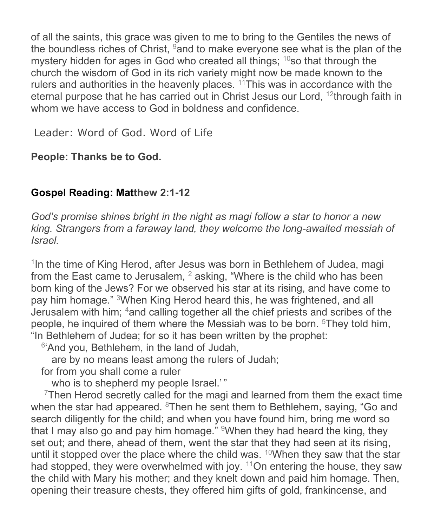of all the saints, this grace was given to me to bring to the Gentiles the news of the boundless riches of Christ,  $9$  and to make everyone see what is the plan of the mystery hidden for ages in God who created all things; <sup>10</sup>so that through the church the wisdom of God in its rich variety might now be made known to the rulers and authorities in the heavenly places. <sup>11</sup>This was in accordance with the eternal purpose that he has carried out in Christ Jesus our Lord, 12through faith in whom we have access to God in boldness and confidence

Leader: Word of God. Word of Life

**People: Thanks be to God.**

# **Gospel Reading: Matthew 2:1-12**

*God's promise shines bright in the night as magi follow a star to honor a new king. Strangers from a faraway land, they welcome the long-awaited messiah of Israel.*

 $1$ In the time of King Herod, after Jesus was born in Bethlehem of Judea, magi from the East came to Jerusalem,  $^2$  asking, "Where is the child who has been born king of the Jews? For we observed his star at its rising, and have come to pay him homage." 3When King Herod heard this, he was frightened, and all Jerusalem with him; 4and calling together all the chief priests and scribes of the people, he inquired of them where the Messiah was to be born.  $5$ They told him, "In Bethlehem of Judea; for so it has been written by the prophet:

 $6'$ And you, Bethlehem, in the land of Judah,

are by no means least among the rulers of Judah;

for from you shall come a ruler

who is to shepherd my people Israel.'"

 $7$ Then Herod secretly called for the magi and learned from them the exact time when the star had appeared.  $8$ Then he sent them to Bethlehem, saying, "Go and search diligently for the child; and when you have found him, bring me word so that I may also go and pay him homage."  $9$ When they had heard the king, they set out; and there, ahead of them, went the star that they had seen at its rising, until it stopped over the place where the child was.  $10$ When they saw that the star had stopped, they were overwhelmed with joy.  $11$ On entering the house, they saw the child with Mary his mother; and they knelt down and paid him homage. Then, opening their treasure chests, they offered him gifts of gold, frankincense, and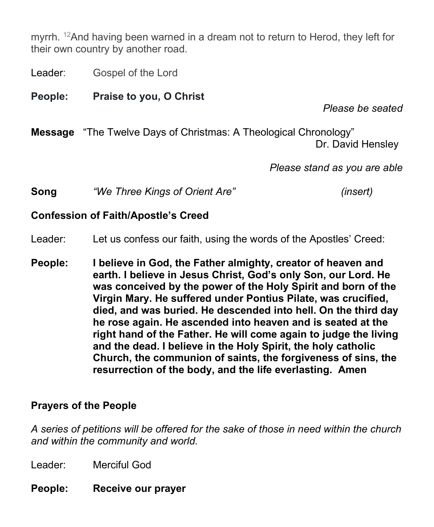myrrh.  $12$ And having been warned in a dream not to return to Herod, they left for their own country by another road.

Leader: Gospel of the Lord

**People: Praise to you, O Christ**

*Please be seated*

**Message** "The Twelve Days of Christmas: A Theological Chronology" Dr. David Hensley

*Please stand as you are able*

**Song** *"We Three Kings of Orient Are" (insert)*

#### **Confession of Faith/Apostle's Creed**

Leader: Let us confess our faith, using the words of the Apostles' Creed:

**People: I believe in God, the Father almighty, creator of heaven and earth. I believe in Jesus Christ, God's only Son, our Lord. He was conceived by the power of the Holy Spirit and born of the Virgin Mary. He suffered under Pontius Pilate, was crucified, died, and was buried. He descended into hell. On the third day he rose again. He ascended into heaven and is seated at the right hand of the Father. He will come again to judge the living and the dead. I believe in the Holy Spirit, the holy catholic Church, the communion of saints, the forgiveness of sins, the resurrection of the body, and the life everlasting. Amen**

# **Prayers of the People**

*A series of petitions will be offered for the sake of those in need within the church and within the community and world.*

Leader: Merciful God

**People: Receive our prayer**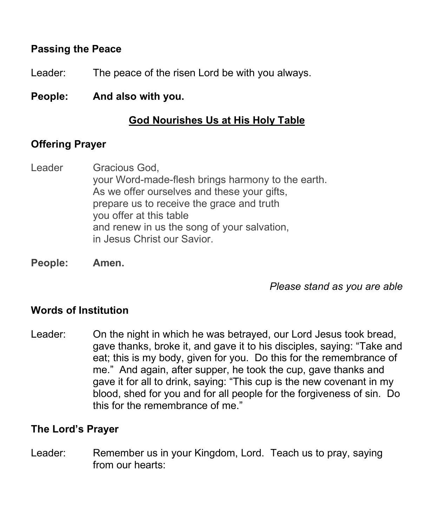# **Passing the Peace**

- Leader: The peace of the risen Lord be with you always.
- **People: And also with you.**

# **God Nourishes Us at His Holy Table**

# **Offering Prayer**

- Leader Gracious God, your Word-made-flesh brings harmony to the earth. As we offer ourselves and these your gifts, prepare us to receive the grace and truth you offer at this table and renew in us the song of your salvation, in Jesus Christ our Savior.
- **People: Amen.**

*Please stand as you are able*

# **Words of Institution**

Leader: On the night in which he was betrayed, our Lord Jesus took bread, gave thanks, broke it, and gave it to his disciples, saying: "Take and eat; this is my body, given for you. Do this for the remembrance of me." And again, after supper, he took the cup, gave thanks and gave it for all to drink, saying: "This cup is the new covenant in my blood, shed for you and for all people for the forgiveness of sin. Do this for the remembrance of me."

# **The Lord's Prayer**

Leader: Remember us in your Kingdom, Lord. Teach us to pray, saying from our hearts: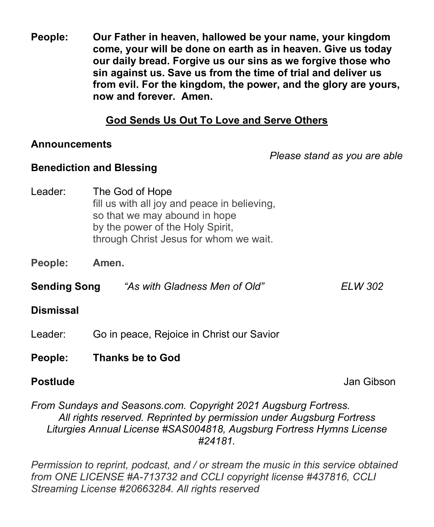**People: Our Father in heaven, hallowed be your name, your kingdom come, your will be done on earth as in heaven. Give us today our daily bread. Forgive us our sins as we forgive those who sin against us. Save us from the time of trial and deliver us from evil. For the kingdom, the power, and the glory are yours, now and forever. Amen.**

# **God Sends Us Out To Love and Serve Others**

#### **Announcements**

*Please stand as you are able*

# **Benediction and Blessing**

- Leader: The God of Hope fill us with all joy and peace in believing, so that we may abound in hope by the power of the Holy Spirit, through Christ Jesus for whom we wait.
- **People: Amen.**
- **Sending Song** *"As with Gladness Men of Old" ELW 302*

# **Dismissal**

- Leader: Go in peace, Rejoice in Christ our Savior
- **People: Thanks be to God**

**Postlude Contract Contract Contract Contract Contract Contract Contract Contract Contract Contract Contract Contract Contract Contract Contract Contract Contract Contract Contract Contract Contract Contract Contract Con** 

# *From Sundays and Seasons.com. Copyright 2021 Augsburg Fortress. All rights reserved. Reprinted by permission under Augsburg Fortress Liturgies Annual License #SAS004818, Augsburg Fortress Hymns License #24181.*

*Permission to reprint, podcast, and / or stream the music in this service obtained from ONE LICENSE #A-713732 and CCLI copyright license #437816, CCLI Streaming License #20663284. All rights reserved*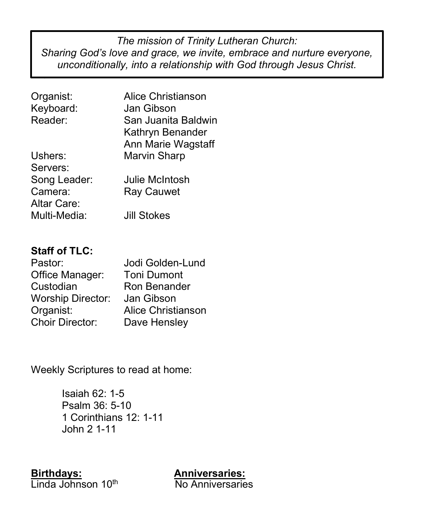**orship Leaders:**  $\mu$ no proditionally into a relationship w Keyboardist: Jan Gibson, Jan Gibson, Jan Gibson, Jan Gibson, Jan Gibson, Jan Gibson, Jan Gibson, Jan Gibson, Jan Gibson, Jan Gibson, Jan Gibson, Jan Gibson, Jan Gibson, Jan Gibson, Jan Gibson, Jan Gibson, Jan Gibson, Jan G *The mission of Trinity Lutheran Church: Sharing God's love and grace, we invite, embrace and nurture everyone, unconditionally, into a relationship with God through Jesus Christ.*

| Alice Christianson  |
|---------------------|
| Jan Gibson          |
| San Juanita Baldwin |
| Kathryn Benander    |
| Ann Marie Wagstaff  |
| <b>Marvin Sharp</b> |
|                     |
| Julie McIntosh      |
| <b>Ray Cauwet</b>   |
|                     |
| <b>Jill Stokes</b>  |
|                     |

# **Staff of TLC:**

| Jodi Golden-Lund          |
|---------------------------|
| <b>Toni Dumont</b>        |
| Ron Benander              |
| Jan Gibson                |
| <b>Alice Christianson</b> |
| Dave Hensley              |
|                           |

Weekly Scriptures to read at home:

Isaiah 62: 1-5 Psalm 36: 5-10 1 Corinthians 12: 1-11 John 2 1-11

**Birthdays: Anniversaries:**  Linda Johnson 10<sup>th</sup> No Anniversaries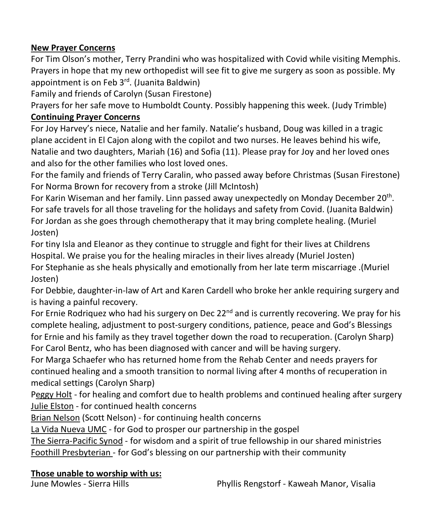#### **New Prayer Concerns**

For Tim Olson's mother, Terry Prandini who was hospitalized with Covid while visiting Memphis. Prayers in hope that my new orthopedist will see fit to give me surgery as soon as possible. My appointment is on Feb 3<sup>rd</sup>. (Juanita Baldwin)

Family and friends of Carolyn (Susan Firestone)

Prayers for her safe move to Humboldt County. Possibly happening this week. (Judy Trimble)

#### **Continuing Prayer Concerns**

For Joy Harvey's niece, Natalie and her family. Natalie's husband, Doug was killed in a tragic plane accident in El Cajon along with the copilot and two nurses. He leaves behind his wife, Natalie and two daughters, Mariah (16) and Sofia (11). Please pray for Joy and her loved ones and also for the other families who lost loved ones.

For the family and friends of Terry Caralin, who passed away before Christmas (Susan Firestone) For Norma Brown for recovery from a stroke (Jill McIntosh)

For Karin Wiseman and her family. Linn passed away unexpectedly on Monday December 20th. For safe travels for all those traveling for the holidays and safety from Covid. (Juanita Baldwin) For Jordan as she goes through chemotherapy that it may bring complete healing. (Muriel Josten)

For tiny Isla and Eleanor as they continue to struggle and fight for their lives at Childrens Hospital. We praise you for the healing miracles in their lives already (Muriel Josten) For Stephanie as she heals physically and emotionally from her late term miscarriage .(Muriel Josten)

For Debbie, daughter-in-law of Art and Karen Cardell who broke her ankle requiring surgery and is having a painful recovery.

For Ernie Rodriquez who had his surgery on Dec  $22<sup>nd</sup>$  and is currently recovering. We pray for his complete healing, adjustment to post-surgery conditions, patience, peace and God's Blessings for Ernie and his family as they travel together down the road to recuperation. (Carolyn Sharp) For Carol Bentz, who has been diagnosed with cancer and will be having surgery.

For Marga Schaefer who has returned home from the Rehab Center and needs prayers for continued healing and a smooth transition to normal living after 4 months of recuperation in medical settings (Carolyn Sharp)

Peggy Holt - for healing and comfort due to health problems and continued healing after surgery Julie Elston - for continued health concerns

Brian Nelson (Scott Nelson) - for continuing health concerns

La Vida Nueva UMC - for God to prosper our partnership in the gospel

The Sierra-Pacific Synod - for wisdom and a spirit of true fellowship in our shared ministries Foothill Presbyterian - for God's blessing on our partnership with their community

#### **Those unable to worship with us:**